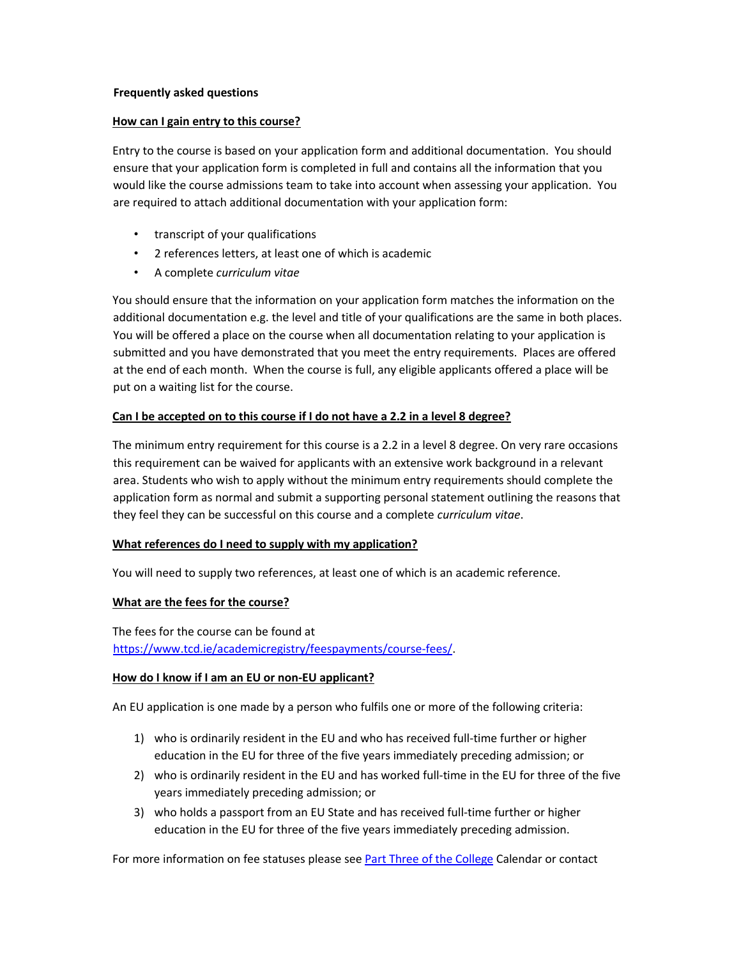### **Frequently asked questions**

#### **How can I gain entry to this course?**

Entry to the course is based on your application form and additional documentation. You should ensure that your application form is completed in full and contains all the information that you would like the course admissions team to take into account when assessing your application. You are required to attach additional documentation with your application form:

- transcript of your qualifications
- 2 references letters, at least one of which is academic
- A complete *curriculum vitae*

You should ensure that the information on your application form matches the information on the additional documentation e.g. the level and title of your qualifications are the same in both places. You will be offered a place on the course when all documentation relating to your application is submitted and you have demonstrated that you meet the entry requirements. Places are offered at the end of each month. When the course is full, any eligible applicants offered a place will be put on a waiting list for the course.

### **Can I be accepted on to this course if I do not have a 2.2 in a level 8 degree?**

The minimum entry requirement for this course is a 2.2 in a level 8 degree. On very rare occasions this requirement can be waived for applicants with an extensive work background in a relevant area. Students who wish to apply without the minimum entry requirements should complete the application form as normal and submit a supporting personal statement outlining the reasons that they feel they can be successful on this course and a complete *curriculum vitae*.

### **What references do I need to supply with my application?**

You will need to supply two references, at least one of which is an academic reference.

### **What are the fees for the course?**

The fees for the course can be found at https://www.tcd.ie/academicregistry/feespayments/course-fees/.

### **How do I know if I am an EU or non‐EU applicant?**

An EU application is one made by a person who fulfils one or more of the following criteria:

- 1) who is ordinarily resident in the EU and who has received full-time further or higher education in the EU for three of the five years immediately preceding admission; or
- 2) who is ordinarily resident in the EU and has worked full-time in the EU for three of the five years immediately preceding admission; or
- 3) who holds a passport from an EU State and has received full-time further or higher education in the EU for three of the five years immediately preceding admission.

For more information on fee statuses please see Part Three of the College Calendar or contact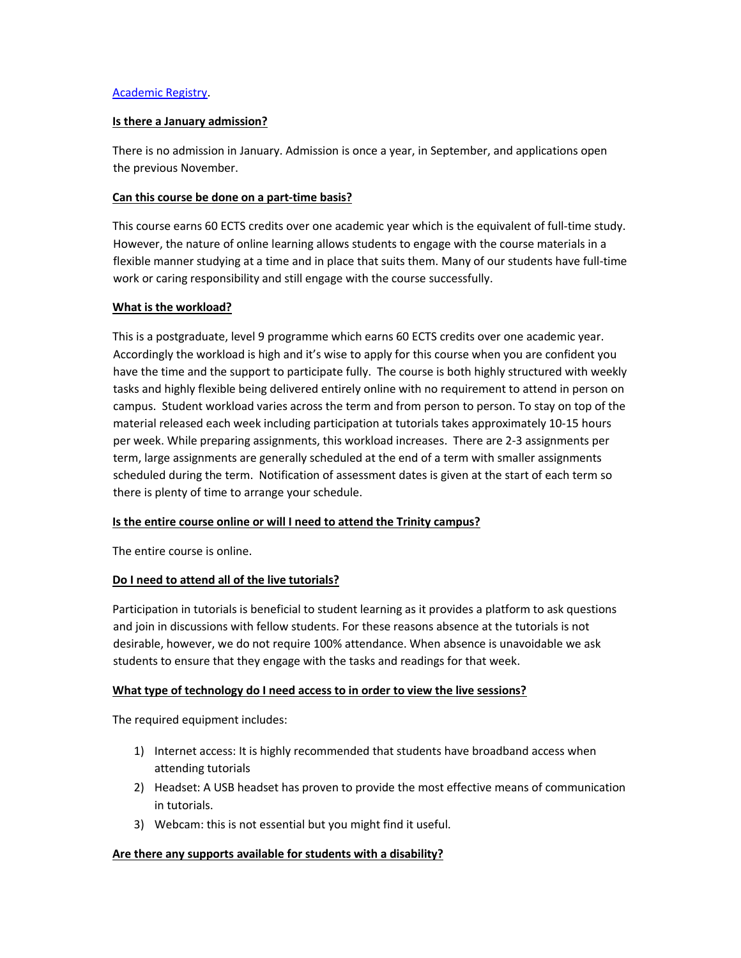### Academic Registry.

### **Is there a January admission?**

There is no admission in January. Admission is once a year, in September, and applications open the previous November.

## **Can this course be done on a part‐time basis?**

This course earns 60 ECTS credits over one academic year which is the equivalent of full‐time study. However, the nature of online learning allows students to engage with the course materials in a flexible manner studying at a time and in place that suits them. Many of our students have full‐time work or caring responsibility and still engage with the course successfully.

### **What is the workload?**

This is a postgraduate, level 9 programme which earns 60 ECTS credits over one academic year. Accordingly the workload is high and it's wise to apply for this course when you are confident you have the time and the support to participate fully. The course is both highly structured with weekly tasks and highly flexible being delivered entirely online with no requirement to attend in person on campus. Student workload varies across the term and from person to person. To stay on top of the material released each week including participation at tutorials takes approximately 10‐15 hours per week. While preparing assignments, this workload increases. There are 2‐3 assignments per term, large assignments are generally scheduled at the end of a term with smaller assignments scheduled during the term. Notification of assessment dates is given at the start of each term so there is plenty of time to arrange your schedule.

# **Is the entire course online or will I need to attend the Trinity campus?**

The entire course is online.

# **Do I need to attend all of the live tutorials?**

Participation in tutorials is beneficial to student learning as it provides a platform to ask questions and join in discussions with fellow students. For these reasons absence at the tutorials is not desirable, however, we do not require 100% attendance. When absence is unavoidable we ask students to ensure that they engage with the tasks and readings for that week.

### **What type of technology do I need access to in order to view the live sessions?**

The required equipment includes:

- 1) Internet access: It is highly recommended that students have broadband access when attending tutorials
- 2) Headset: A USB headset has proven to provide the most effective means of communication in tutorials.
- 3) Webcam: this is not essential but you might find it useful.

# **Are there any supports available for students with a disability?**